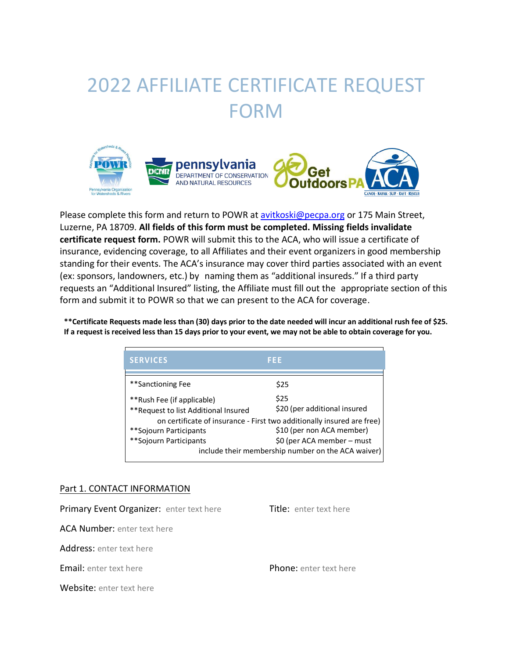# 2022 AFFILIATE CERTIFICATE REQUEST FORM



Please complete this form and return to POWR at [avitkoski@pecpa.org](mailto:avitkoski@pecpa.org) or 175 Main Street, Luzerne, PA 18709. **All fields of this form must be completed. Missing fields invalidate certificate request form.** POWR will submit this to the ACA, who will issue a certificate of insurance, evidencing coverage, to all Affiliates and their event organizers in good membership standing for their events. The ACA's insurance may cover third parties associated with an event (ex: sponsors, landowners, etc.) by naming them as "additional insureds." If a third party requests an "Additional Insured" listing, the Affiliate must fill out the appropriate section of this form and submit it to POWR so that we can present to the ACA for coverage.

\*\*Certificate Requests made less than (30) days prior to the date needed will incur an additional rush fee of \$25. **If a request is received less than 15 days prior to your event, we may not be able to obtain coverage for you.** 

| <b>SERVICES</b>                                                                                                               | FEE                                                                              |  |  |  |
|-------------------------------------------------------------------------------------------------------------------------------|----------------------------------------------------------------------------------|--|--|--|
| **Sanctioning Fee                                                                                                             | \$25                                                                             |  |  |  |
| **Rush Fee (if applicable)<br>** Request to list Additional Insured                                                           | \$25<br>\$20 (per additional insured                                             |  |  |  |
| on certificate of insurance - First two additionally insured are free)<br>\$10 (per non ACA member)<br>**Sojourn Participants |                                                                                  |  |  |  |
| **Sojourn Participants                                                                                                        | \$0 (per ACA member – must<br>include their membership number on the ACA waiver) |  |  |  |

#### Part 1. CONTACT INFORMATION

Primary Event Organizer: enter text here Title: enter text here ACA Number: enter text here Address: enter text here **Email:** enter text here **Phone:** enter text here **Phone:** enter text here Website: enter text here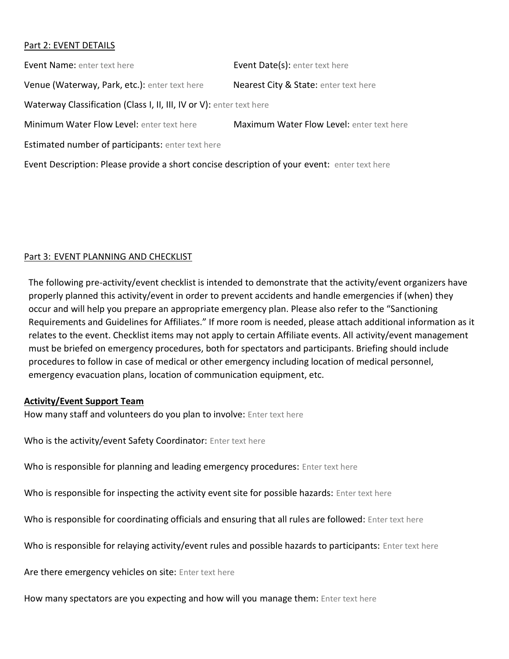## Part 2: EVENT DETAILS

**Event Name:** enter text here **Event Date(s):** enter text here Venue (Waterway, Park, etc.): enter text here Nearest City & State: enter text here Waterway Classification (Class I, II, III, IV or V): enter text here Minimum Water Flow Level: enter text here Maximum Water Flow Level: enter text here **Estimated number of participants:** enter text here

Event Description: Please provide a short concise description of your event: enter text here

# Part 3: EVENT PLANNING AND CHECKLIST

The following pre-activity/event checklist is intended to demonstrate that the activity/event organizers have properly planned this activity/event in order to prevent accidents and handle emergencies if (when) they occur and will help you prepare an appropriate emergency plan. Please also refer to the "Sanctioning Requirements and Guidelines for Affiliates." If more room is needed, please attach additional information as it relates to the event. Checklist items may not apply to certain Affiliate events. All activity/event management must be briefed on emergency procedures, both for spectators and participants. Briefing should include procedures to follow in case of medical or other emergency including location of medical personnel, emergency evacuation plans, location of communication equipment, etc.

### **Activity/Event Support Team**

How many staff and volunteers do you plan to involve: Enter text here

Who is the activity/event Safety Coordinator: Enter text here

Who is responsible for planning and leading emergency procedures: Enter text here

Who is responsible for inspecting the activity event site for possible hazards: Enter text here

Who is responsible for coordinating officials and ensuring that all rules are followed: Enter text here

Who is responsible for relaying activity/event rules and possible hazards to participants: Enter text here

Are there emergency vehicles on site: Enter text here

How many spectators are you expecting and how will you manage them: Enter text here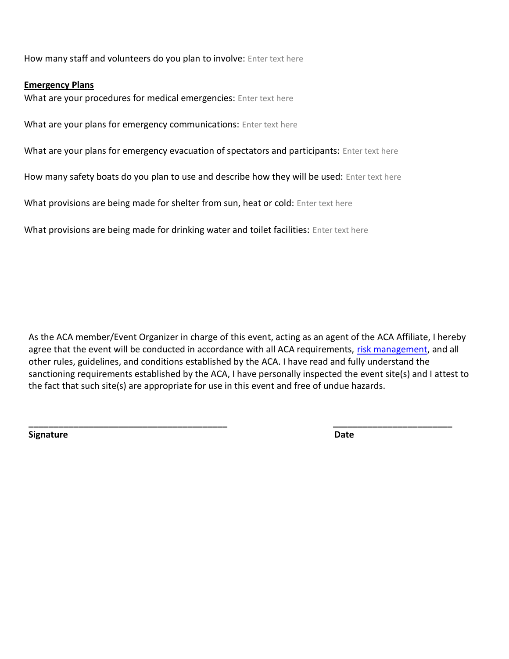How many staff and volunteers do you plan to involve: Enter text here

#### **Emergency Plans**

What are your procedures for medical emergencies: Enter text here

What are your plans for emergency communications: Enter text here

What are your plans for emergency evacuation of spectators and participants: Enter text here

How many safety boats do you plan to use and describe how they will be used: Enter text here

What provisions are being made for shelter from sun, heat or cold: Enter text here

What provisions are being made for drinking water and toilet facilities: Enter text here

As the ACA member/Event Organizer in charge of this event, acting as an agent of the ACA Affiliate, I hereby agree that the event will be conducted in accordance with all ACA requirements, [risk management,](https://cdn.ymaws.com/www.americancanoe.org/resource/resmgr/insurance-documents/aca_risk_mgt_requirements_20.pdf) and all other rules, guidelines, and conditions established by the ACA. I have read and fully understand the sanctioning requirements established by the ACA, I have personally inspected the event site(s) and I attest to the fact that such site(s) are appropriate for use in this event and free of undue hazards.

**\_\_\_\_\_\_\_\_\_\_\_\_\_\_\_\_\_\_\_\_\_\_\_\_\_\_\_\_\_\_\_\_\_\_\_\_\_\_\_\_ \_\_\_\_\_\_\_\_\_\_\_\_\_\_\_\_\_\_\_\_\_\_\_\_**

**Signature** Date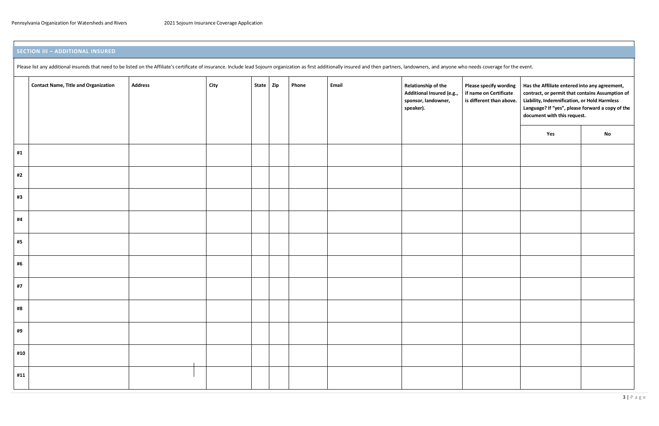# **SECTION III – ADDITIONAL INSURED**

Please list any additional insureds that need to be listed on the Affiliate's certificate of insurance. Include lead Sojourn organization as first additionally insured and then partners, landowners, and anyone who needs co

|     | <b>Contact Name, Title and Organization</b> | <b>Address</b> | City | State Zip | Phone | Email | Relationship of the<br>Additional Insured (e.g.,<br>sponsor, landowner,<br>speaker). | Please sp<br>if name<br>is differe |
|-----|---------------------------------------------|----------------|------|-----------|-------|-------|--------------------------------------------------------------------------------------|------------------------------------|
|     |                                             |                |      |           |       |       |                                                                                      |                                    |
| #1  |                                             |                |      |           |       |       |                                                                                      |                                    |
| #2  |                                             |                |      |           |       |       |                                                                                      |                                    |
| #3  |                                             |                |      |           |       |       |                                                                                      |                                    |
| #4  |                                             |                |      |           |       |       |                                                                                      |                                    |
| #5  |                                             |                |      |           |       |       |                                                                                      |                                    |
| #6  |                                             |                |      |           |       |       |                                                                                      |                                    |
| #7  |                                             |                |      |           |       |       |                                                                                      |                                    |
| #8  |                                             |                |      |           |       |       |                                                                                      |                                    |
| #9  |                                             |                |      |           |       |       |                                                                                      |                                    |
| #10 |                                             |                |      |           |       |       |                                                                                      |                                    |
| #11 |                                             |                |      |           |       |       |                                                                                      |                                    |

| <b>Please specify wording</b><br>if name on Certificate<br>is different than above. | Has the Affiliate entered into any agreement,<br>contract, or permit that contains Assumption of<br>Liability, Indemnification, or Hold Harmless<br>Language? If "yes", please forward a copy of the<br>document with this request. |    |  |  |  |  |
|-------------------------------------------------------------------------------------|-------------------------------------------------------------------------------------------------------------------------------------------------------------------------------------------------------------------------------------|----|--|--|--|--|
|                                                                                     | Yes                                                                                                                                                                                                                                 | No |  |  |  |  |
|                                                                                     |                                                                                                                                                                                                                                     |    |  |  |  |  |
|                                                                                     |                                                                                                                                                                                                                                     |    |  |  |  |  |
|                                                                                     |                                                                                                                                                                                                                                     |    |  |  |  |  |
|                                                                                     |                                                                                                                                                                                                                                     |    |  |  |  |  |
|                                                                                     |                                                                                                                                                                                                                                     |    |  |  |  |  |
|                                                                                     |                                                                                                                                                                                                                                     |    |  |  |  |  |
|                                                                                     |                                                                                                                                                                                                                                     |    |  |  |  |  |
|                                                                                     |                                                                                                                                                                                                                                     |    |  |  |  |  |
|                                                                                     |                                                                                                                                                                                                                                     |    |  |  |  |  |
|                                                                                     |                                                                                                                                                                                                                                     |    |  |  |  |  |
|                                                                                     |                                                                                                                                                                                                                                     |    |  |  |  |  |